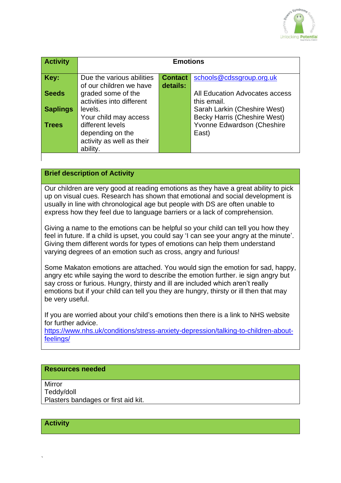

| <b>Activity</b> | <b>Emotions</b>           |                |                                     |
|-----------------|---------------------------|----------------|-------------------------------------|
|                 |                           |                |                                     |
| Key:            | Due the various abilities | <b>Contact</b> | schools@cdssgroup.org.uk            |
|                 | of our children we have   | details:       |                                     |
| <b>Seeds</b>    | graded some of the        |                | All Education Advocates access      |
|                 | activities into different |                | this email.                         |
| <b>Saplings</b> | levels.                   |                | Sarah Larkin (Cheshire West)        |
|                 | Your child may access     |                | <b>Becky Harris (Cheshire West)</b> |
| <b>Trees</b>    | different levels          |                | Yvonne Edwardson (Cheshire          |
|                 | depending on the          |                | East)                               |
|                 | activity as well as their |                |                                     |
|                 | ability.                  |                |                                     |
|                 |                           |                |                                     |

## **Brief description of Activity**

Our children are very good at reading emotions as they have a great ability to pick up on visual cues. Research has shown that emotional and social development is usually in line with chronological age but people with DS are often unable to express how they feel due to language barriers or a lack of comprehension.

Giving a name to the emotions can be helpful so your child can tell you how they feel in future. If a child is upset, you could say 'I can see your angry at the minute'. Giving them different words for types of emotions can help them understand varying degrees of an emotion such as cross, angry and furious!

Some Makaton emotions are attached. You would sign the emotion for sad, happy, angry etc while saying the word to describe the emotion further. ie sign angry but say cross or furious. Hungry, thirsty and ill are included which aren't really emotions but if your child can tell you they are hungry, thirsty or ill then that may be very useful.

If you are worried about your child's emotions then there is a link to NHS website for further advice.

[https://www.nhs.uk/conditions/stress-anxiety-depression/talking-to-children-about](https://www.nhs.uk/conditions/stress-anxiety-depression/talking-to-children-about-feelings/)[feelings/](https://www.nhs.uk/conditions/stress-anxiety-depression/talking-to-children-about-feelings/)

## **Resources needed**

Mirror Teddy/doll Plasters bandages or first aid kit.

**Activity**

`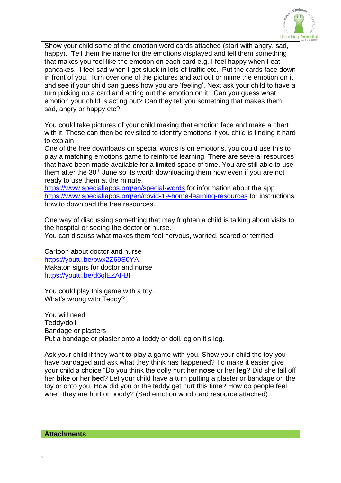

Show your child some of the emotion word cards attached (start with angry, sad, happy). Tell them the name for the emotions displayed and tell them something that makes you feel like the emotion on each card e.g. I feel happy when I eat pancakes. I feel sad when I get stuck in lots of traffic etc. Put the cards face down in front of you. Turn over one of the pictures and act out or mime the emotion on it and see if your child can guess how you are 'feeling'. Next ask your child to have a turn picking up a card and acting out the emotion on it. Can you guess what emotion your child is acting out? Can they tell you something that makes them sad, angry or happy etc?

You could take pictures of your child making that emotion face and make a chart with it. These can then be revisited to identify emotions if you child is finding it hard to explain.

One of the free downloads on special words is on emotions, you could use this to play a matching emotions game to reinforce learning. There are several resources that have been made available for a limited space of time. You are still able to use them after the 30<sup>th</sup> June so its worth downloading them now even if you are not ready to use them at the minute.

<https://www.specialiapps.org/en/special-words> for information about the app <https://www.specialiapps.org/en/covid-19-home-learning-resources> for instructions how to download the free resources.

One way of discussing something that may frighten a child is talking about visits to the hospital or seeing the doctor or nurse.

You can discuss what makes them feel nervous, worried, scared or terrified!

Cartoon about doctor and nurse <https://youtu.be/bwx2Z69S0YA> Makaton signs for doctor and nurse <https://youtu.be/d6qlEZAI-BI>

You could play this game with a toy. What's wrong with Teddy?

You will need Teddy/doll Bandage or plasters Put a bandage or plaster onto a teddy or doll, eg on it's leg.

Ask your child if they want to play a game with you. Show your child the toy you have bandaged and ask what they think has happened? To make it easier give your child a choice "Do you think the dolly hurt her **nose** or her **leg**? Did she fall off her **bike** or her **bed**? Let your child have a turn putting a plaster or bandage on the toy or onto you. How did you or the teddy get hurt this time? How do people feel when they are hurt or poorly? (Sad emotion word card resource attached)

`